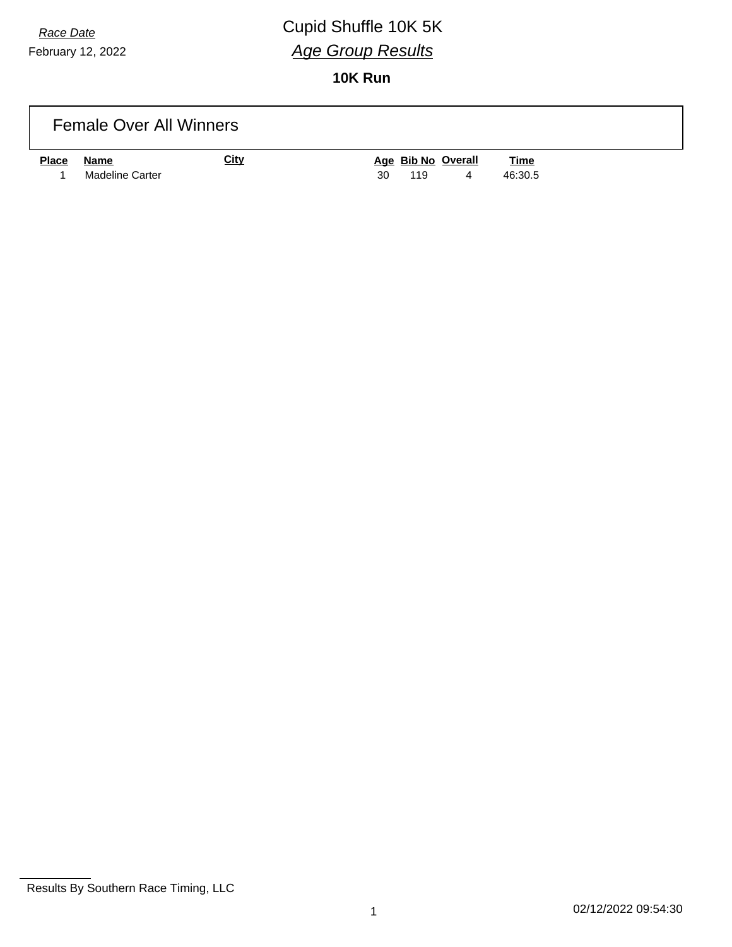# *Race Date* Cupid Shuffle 10K 5K *Age Group Results*

|              | <b>Female Over All Winners</b> |             |                                                                |
|--------------|--------------------------------|-------------|----------------------------------------------------------------|
| <b>Place</b> | Name<br>Madeline Carter        | <u>City</u> | Age Bib No Overall<br><u>Time</u><br>30<br>46:30.5<br>119<br>4 |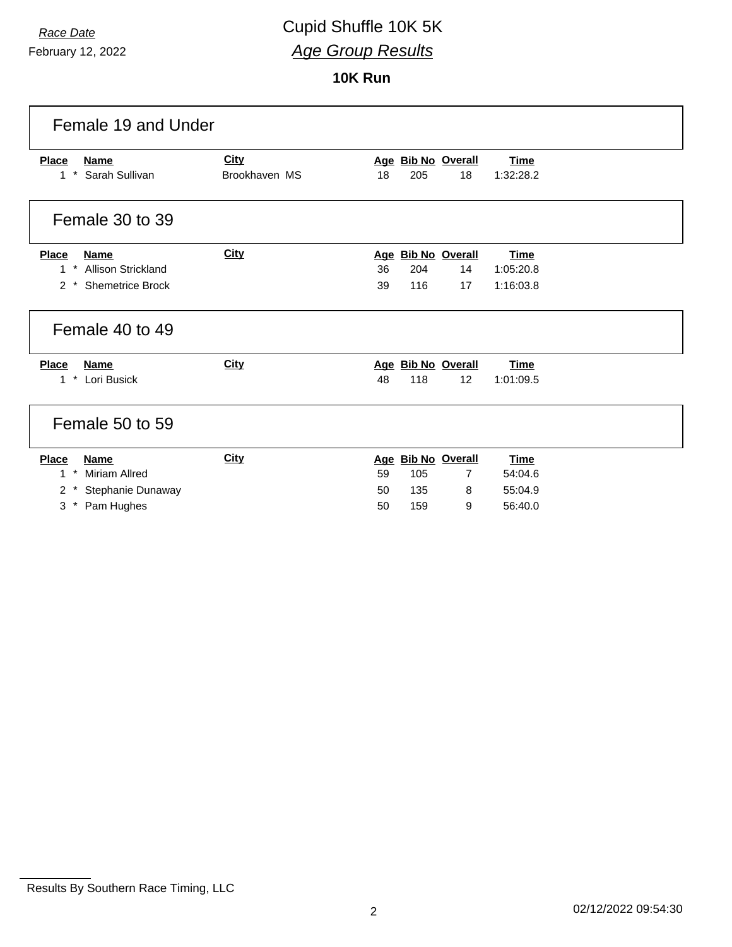February 12, 2022

| Female 19 and Under                                                 |                              |           |                          |                          |  |
|---------------------------------------------------------------------|------------------------------|-----------|--------------------------|--------------------------|--|
| <b>Place</b><br><b>Name</b><br>$\pmb{\star}$<br>Sarah Sullivan<br>1 | <b>City</b><br>Brookhaven MS | 18<br>205 | Age Bib No Overall<br>18 | <b>Time</b><br>1:32:28.2 |  |
| Female 30 to 39                                                     |                              |           |                          |                          |  |
| <b>Place</b><br><b>Name</b>                                         | <b>City</b>                  |           | Age Bib No Overall       | <b>Time</b>              |  |
| <b>Allison Strickland</b><br>$1 *$                                  |                              | 36<br>204 | 14                       | 1:05:20.8                |  |
| <b>Shemetrice Brock</b><br>$2$ *                                    |                              | 39<br>116 | 17                       | 1:16:03.8                |  |
| Female 40 to 49                                                     |                              |           |                          |                          |  |
| <b>Place</b><br><b>Name</b>                                         | <b>City</b>                  |           | Age Bib No Overall       | <b>Time</b>              |  |
| $\star$<br>Lori Busick<br>1                                         |                              | 48<br>118 | 12                       | 1:01:09.5                |  |
| Female 50 to 59                                                     |                              |           |                          |                          |  |
| <b>Place</b><br><b>Name</b>                                         | <b>City</b>                  |           | Age Bib No Overall       | <b>Time</b>              |  |
| Miriam Allred<br>$\star$<br>$\mathbf{1}$                            |                              | 59<br>105 | 7                        | 54:04.6                  |  |
| 2<br>Stephanie Dunaway                                              |                              | 50<br>135 | 8                        | 55:04.9                  |  |
| Pam Hughes<br>$3^*$                                                 |                              | 50<br>159 | 9                        | 56:40.0                  |  |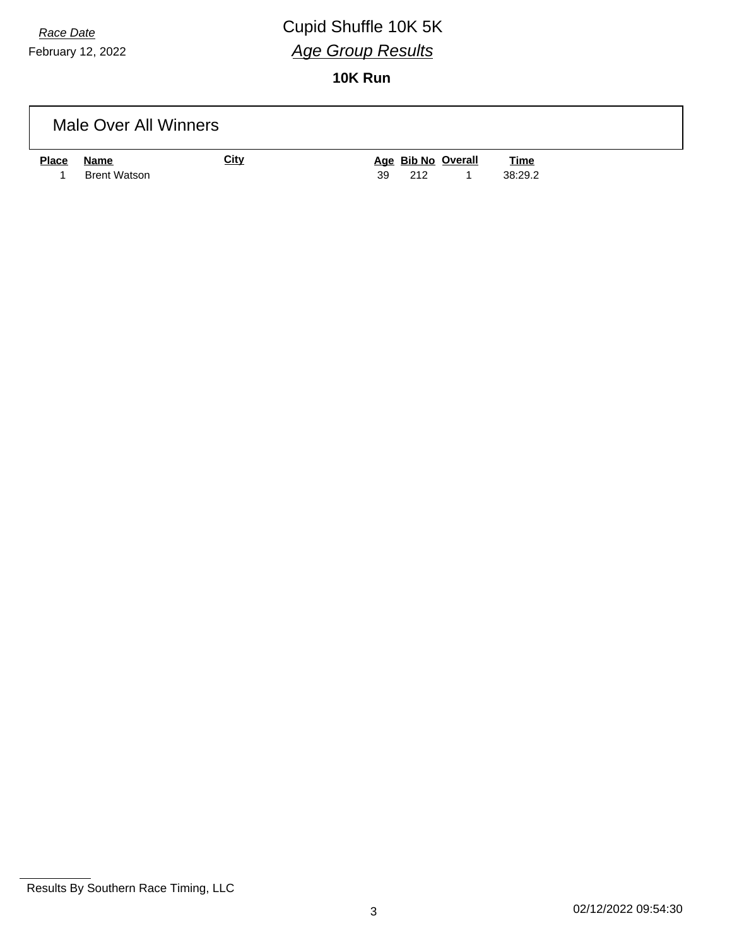# *Race Date* Cupid Shuffle 10K 5K *Age Group Results*

|              | Male Over All Winners |             |                    |             |  |
|--------------|-----------------------|-------------|--------------------|-------------|--|
| <b>Place</b> | Name                  | <b>City</b> | Age Bib No Overall | <b>Time</b> |  |
|              | <b>Brent Watson</b>   |             | 39<br>212          | 38:29.2     |  |

Results By Southern Race Timing, LLC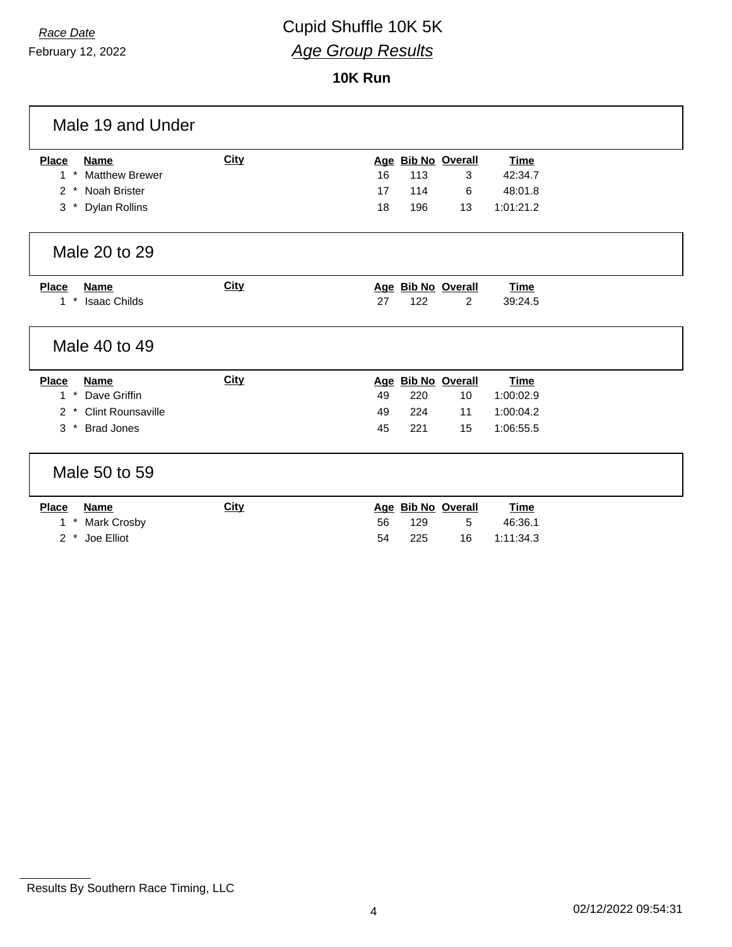February 12, 2022

| Male 19 and Under                     |             |                                        |
|---------------------------------------|-------------|----------------------------------------|
| <b>Place</b><br><b>Name</b>           | <b>City</b> | Age Bib No Overall<br><b>Time</b>      |
| <b>Matthew Brewer</b><br>$\star$<br>1 |             | 16<br>113<br>42:34.7<br>3              |
| 2 * Noah Brister                      |             | 17<br>114<br>48:01.8<br>6              |
| 3 * Dylan Rollins                     |             | 196<br>1:01:21.2<br>18<br>13           |
| Male 20 to 29                         |             |                                        |
| <b>Place</b><br><b>Name</b>           | <b>City</b> | Age Bib No Overall<br><b>Time</b>      |
| * Isaac Childs<br>1                   |             | 122<br>27<br>$\overline{2}$<br>39:24.5 |
| Male 40 to 49                         |             |                                        |
| <b>Place</b><br><b>Name</b>           | City        | Age Bib No Overall<br><b>Time</b>      |
| $\star$<br>Dave Griffin<br>1          |             | 49<br>220<br>10<br>1:00:02.9           |
| 2 * Clint Rounsaville                 |             | 1:00:04.2<br>224<br>49<br>11           |
| 3 * Brad Jones                        |             | 45<br>221<br>1:06:55.5<br>15           |
| Male 50 to 59                         |             |                                        |
| <b>Place</b><br><b>Name</b>           | <b>City</b> | Age Bib No Overall<br><b>Time</b>      |
| $^\star$<br><b>Mark Crosby</b><br>1   |             | 56<br>129<br>5<br>46:36.1              |
| Joe Elliot<br>$2 *$                   |             | 225<br>54<br>16<br>1:11:34.3           |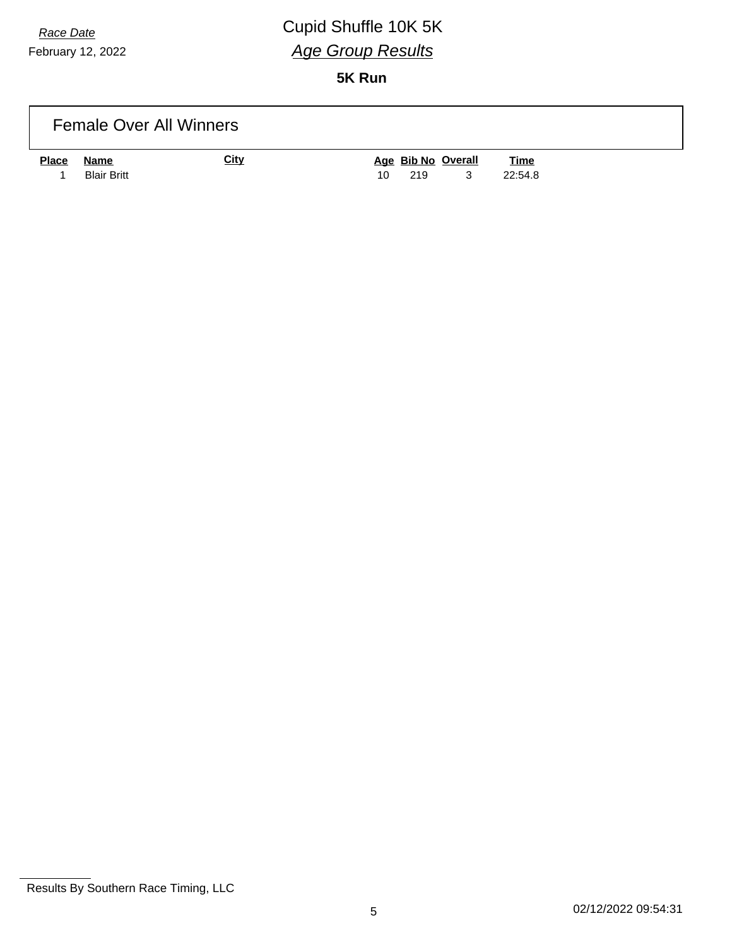## *Race Date* Cupid Shuffle 10K 5K *Age Group Results*

| <b>Female Over All Winners</b>             |             |                                                                |
|--------------------------------------------|-------------|----------------------------------------------------------------|
| <b>Place</b><br>Name<br><b>Blair Britt</b> | <u>City</u> | Age Bib No Overall<br><b>Time</b><br>3<br>22:54.8<br>219<br>10 |

Results By Southern Race Timing, LLC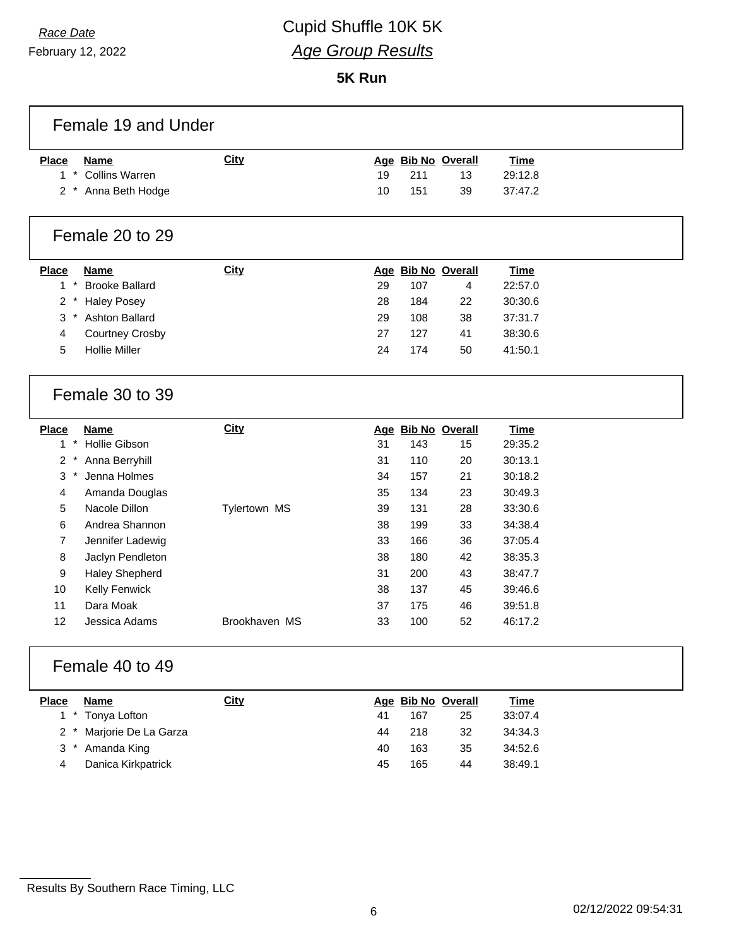### *Race Date* Cupid Shuffle 10K 5K *Age Group Results*

**5K Run**

| Female 19 and Under                              |               |    |     |                    |             |  |
|--------------------------------------------------|---------------|----|-----|--------------------|-------------|--|
| <b>Place</b><br><b>Name</b>                      | City          |    |     | Age Bib No Overall | <b>Time</b> |  |
| <b>Collins Warren</b><br>$\star$<br>1            |               | 19 | 211 | 13                 | 29:12.8     |  |
| 2 * Anna Beth Hodge                              |               | 10 | 151 | 39                 | 37:47.2     |  |
| Female 20 to 29                                  |               |    |     |                    |             |  |
| <b>Place</b><br><b>Name</b>                      | City          |    |     | Age Bib No Overall | <b>Time</b> |  |
| $\star$<br><b>Brooke Ballard</b><br>$\mathbf{1}$ |               | 29 | 107 | 4                  | 22:57.0     |  |
| $\overline{2}$<br><b>Haley Posey</b>             |               | 28 | 184 | 22                 | 30:30.6     |  |
| Ashton Ballard<br>3<br>$\ast$                    |               | 29 | 108 | 38                 | 37:31.7     |  |
| 4<br><b>Courtney Crosby</b>                      |               | 27 | 127 | 41                 | 38:30.6     |  |
| <b>Hollie Miller</b><br>5                        |               | 24 | 174 | 50                 | 41:50.1     |  |
| Female 30 to 39                                  |               |    |     |                    |             |  |
| <b>Place</b><br><b>Name</b>                      | City          |    |     | Age Bib No Overall | <b>Time</b> |  |
| Hollie Gibson<br>$\star$<br>1                    |               | 31 | 143 | 15                 | 29:35.2     |  |
| $\overline{2}$<br>Anna Berryhill                 |               | 31 | 110 | 20                 | 30:13.1     |  |
| Jenna Holmes<br>3<br>$^\star$                    |               | 34 | 157 | 21                 | 30:18.2     |  |
| 4<br>Amanda Douglas                              |               | 35 | 134 | 23                 | 30:49.3     |  |
| Nacole Dillon<br>5                               | Tylertown MS  | 39 | 131 | 28                 | 33:30.6     |  |
| Andrea Shannon<br>6                              |               | 38 | 199 | 33                 | 34:38.4     |  |
| 7<br>Jennifer Ladewig                            |               | 33 | 166 | 36                 | 37:05.4     |  |
| 8<br>Jaclyn Pendleton                            |               | 38 | 180 | 42                 | 38:35.3     |  |
| 9<br>Haley Shepherd                              |               | 31 | 200 | 43                 | 38:47.7     |  |
| 10<br>Kelly Fenwick                              |               | 38 | 137 | 45                 | 39:46.6     |  |
| Dara Moak<br>11                                  |               | 37 | 175 | 46                 | 39:51.8     |  |
| 12<br>Jessica Adams                              | Brookhaven MS | 33 | 100 | 52                 | 46:17.2     |  |
| Female 40 to 49                                  |               |    |     |                    |             |  |
| Place<br><b>Name</b>                             | <b>City</b>   |    |     | Age Bib No Overall | <b>Time</b> |  |
| $1 *$<br>Tonya Lofton                            |               | 41 | 167 | 25                 | 33:07.4     |  |
| Marjorie De La Garza<br>$\mathbf{2}^{\circ}$     |               | 44 | 218 | 32                 | 34:34.3     |  |
| 3 * Amanda King                                  |               | 40 | 163 | 35                 | 34:52.6     |  |

Danica Kirkpatrick 45 165 44 38:49.1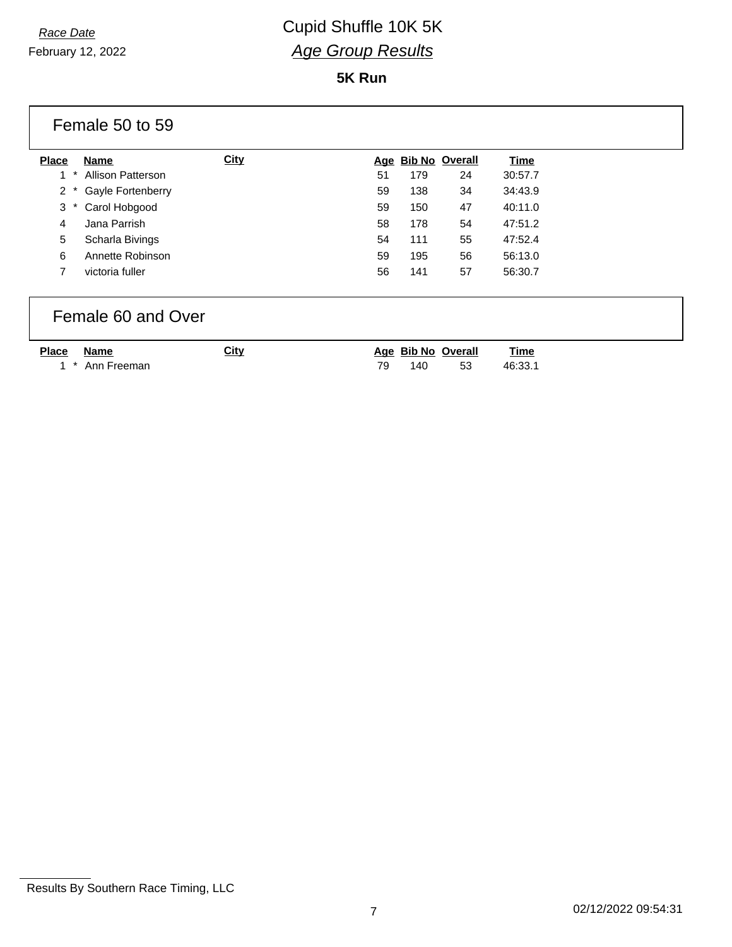February 12, 2022

#### **5K Run**

|                | Female 50 to 59    |             |     |                    |                       |             |  |
|----------------|--------------------|-------------|-----|--------------------|-----------------------|-------------|--|
| <b>Place</b>   | Name               | <b>City</b> | Age |                    | <b>Bib No Overall</b> | <b>Time</b> |  |
| 1              | Allison Patterson  |             | 51  | 179                | 24                    | 30:57.7     |  |
| $\overline{2}$ | Gayle Fortenberry  |             | 59  | 138                | 34                    | 34:43.9     |  |
| 3              | Carol Hobgood      |             | 59  | 150                | 47                    | 40:11.0     |  |
| 4              | Jana Parrish       |             | 58  | 178                | 54                    | 47:51.2     |  |
| 5              | Scharla Bivings    |             | 54  | 111                | 55                    | 47:52.4     |  |
| 6              | Annette Robinson   |             | 59  | 195                | 56                    | 56:13.0     |  |
| 7              | victoria fuller    |             | 56  | 141                | 57                    | 56:30.7     |  |
|                | Female 60 and Over |             |     |                    |                       |             |  |
| <b>Place</b>   | Name               | <b>City</b> |     | Age Bib No Overall |                       | <b>Time</b> |  |

1 \* Ann Freeman

|    | <u> Age Bib No Overall</u> |     | Time    |
|----|----------------------------|-----|---------|
| 79 | 140                        | -53 | 46:33.1 |

Results By Southern Race Timing, LLC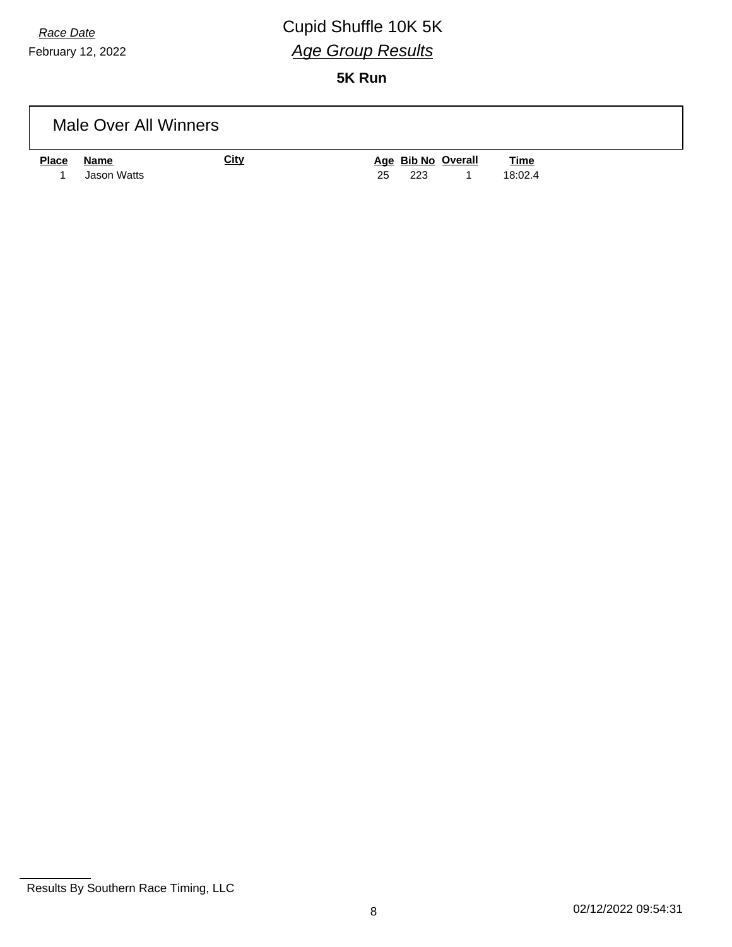## *Race Date* Cupid Shuffle 10K 5K *Age Group Results*

|              | Male Over All Winners |             |                                   |
|--------------|-----------------------|-------------|-----------------------------------|
| <b>Place</b> | <u>Name</u>           | <b>City</b> | Age Bib No Overall<br><b>Time</b> |
|              | Jason Watts           |             | 18:02.4<br>25<br>223              |

Results By Southern Race Timing, LLC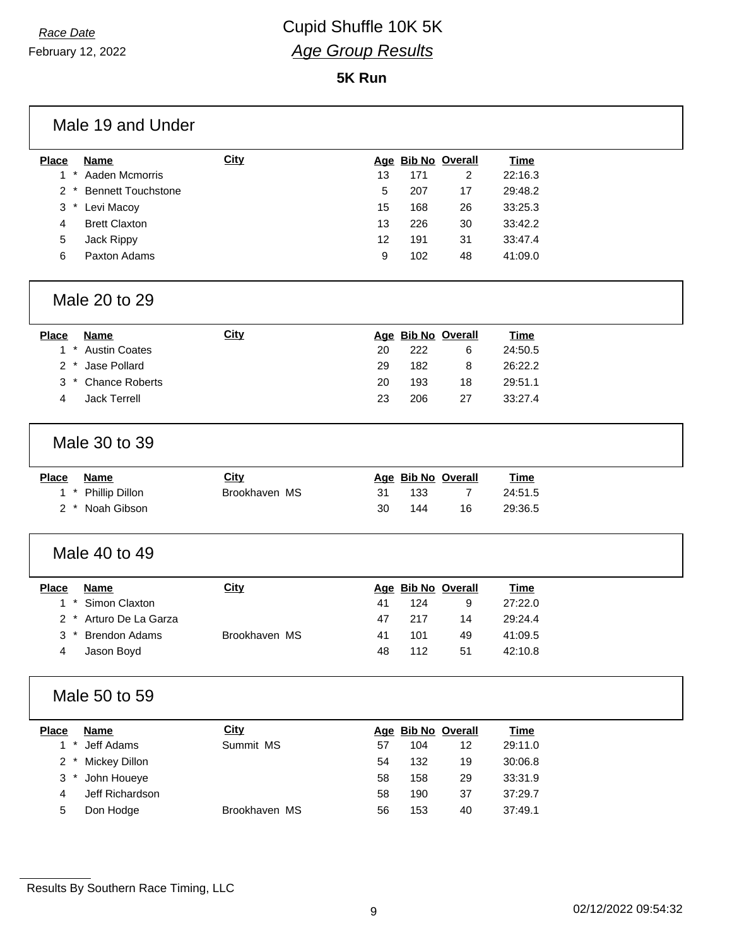February 12, 2022

| Male 19 and Under                           |               |                             |             |  |
|---------------------------------------------|---------------|-----------------------------|-------------|--|
| <b>Place</b><br><b>Name</b>                 | <b>City</b>   | Age Bib No Overall          | <b>Time</b> |  |
| $\star$<br>Aaden Mcmorris<br>$\mathbf{1}$   |               | 13<br>171<br>$\overline{2}$ | 22:16.3     |  |
| <b>Bennett Touchstone</b><br>$\overline{2}$ |               | 5<br>207<br>17              | 29:48.2     |  |
| 3<br>* Levi Macoy                           |               | 15<br>168<br>26             | 33:25.3     |  |
| <b>Brett Claxton</b><br>4                   |               | 13<br>226<br>30             | 33:42.2     |  |
| Jack Rippy<br>5                             |               | 12<br>191<br>31             | 33:47.4     |  |
| Paxton Adams<br>6                           |               | 102<br>9<br>48              | 41:09.0     |  |
| Male 20 to 29                               |               |                             |             |  |
| <b>Place</b><br><b>Name</b>                 | City          | Age Bib No Overall          | <b>Time</b> |  |
| 1 * Austin Coates                           |               | 222<br>20<br>6              | 24:50.5     |  |
| 2 * Jase Pollard                            |               | 182<br>29<br>8              | 26:22.2     |  |
| * Chance Roberts<br>3                       |               | 20<br>193<br>18             | 29:51.1     |  |
| <b>Jack Terrell</b><br>4                    |               | 23<br>206<br>27             | 33:27.4     |  |
| Male 30 to 39                               |               |                             |             |  |
| <b>Name</b><br><b>Place</b>                 | <b>City</b>   | Age Bib No Overall          | <b>Time</b> |  |
| Phillip Dillon<br>$1 *$                     | Brookhaven MS | 31<br>133<br>7              | 24:51.5     |  |
| 2 * Noah Gibson                             |               | 30<br>144<br>16             | 29:36.5     |  |
| Male 40 to 49                               |               |                             |             |  |
| <b>Place</b><br><b>Name</b>                 | <b>City</b>   | Age Bib No Overall          | <b>Time</b> |  |
| $1 *$<br>Simon Claxton                      |               | 124<br>41<br>9              | 27:22.0     |  |
| Arturo De La Garza<br>2                     |               | 47<br>217<br>14             | 29:24.4     |  |
| <b>Brendon Adams</b><br>3                   | Brookhaven MS | 101<br>41<br>49             | 41:09.5     |  |
| Jason Boyd<br>4                             |               | 112<br>48<br>51             | 42:10.8     |  |
| Male 50 to 59                               |               |                             |             |  |
| <b>Place</b><br><b>Name</b>                 | <b>City</b>   | Age Bib No Overall          | <b>Time</b> |  |
| $1 *$<br>Jeff Adams                         | Summit MS     | 57<br>104<br>12             | 29:11.0     |  |
| 2 <sup>7</sup><br>$\star$<br>Mickey Dillon  |               | 132<br>54<br>19             | 30:06.8     |  |
| $\mathbf{3}$<br>$\ast$<br>John Houeye       |               | 58<br>158<br>29             | 33:31.9     |  |
| Jeff Richardson<br>4                        |               | 190<br>37<br>58             | 37:29.7     |  |
| 5<br>Don Hodge                              | Brookhaven MS | 56<br>153<br>40             | 37:49.1     |  |
|                                             |               |                             |             |  |

Results By Southern Race Timing, LLC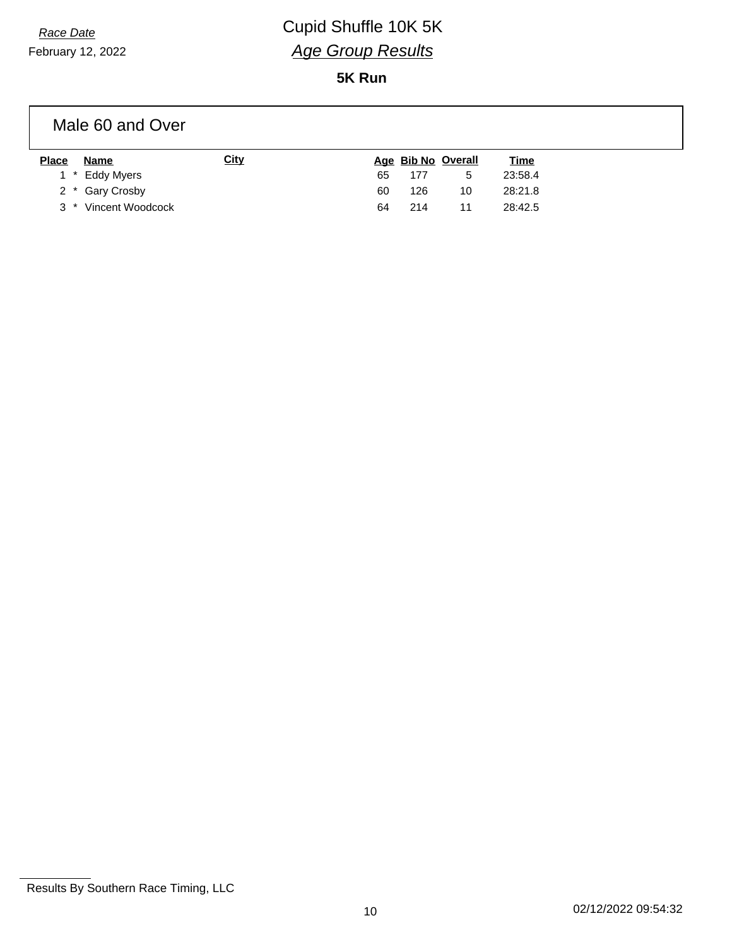## *Race Date* Cupid Shuffle 10K 5K *Age Group Results*

**5K Run**

#### Male 60 and Over

| <b>Place</b> | Name                 | <u>City</u> |    |     | Age Bib No Overall | <u>Time</u> |
|--------------|----------------------|-------------|----|-----|--------------------|-------------|
|              | 1 * Eddy Myers       |             | 65 | 177 | <sub>5</sub>       | 23:58.4     |
|              | 2 * Gary Crosby      |             | 60 | 126 | 10                 | 28:21.8     |
|              | 3 * Vincent Woodcock |             | 64 | 214 |                    | 28:42.5     |

Results By Southern Race Timing, LLC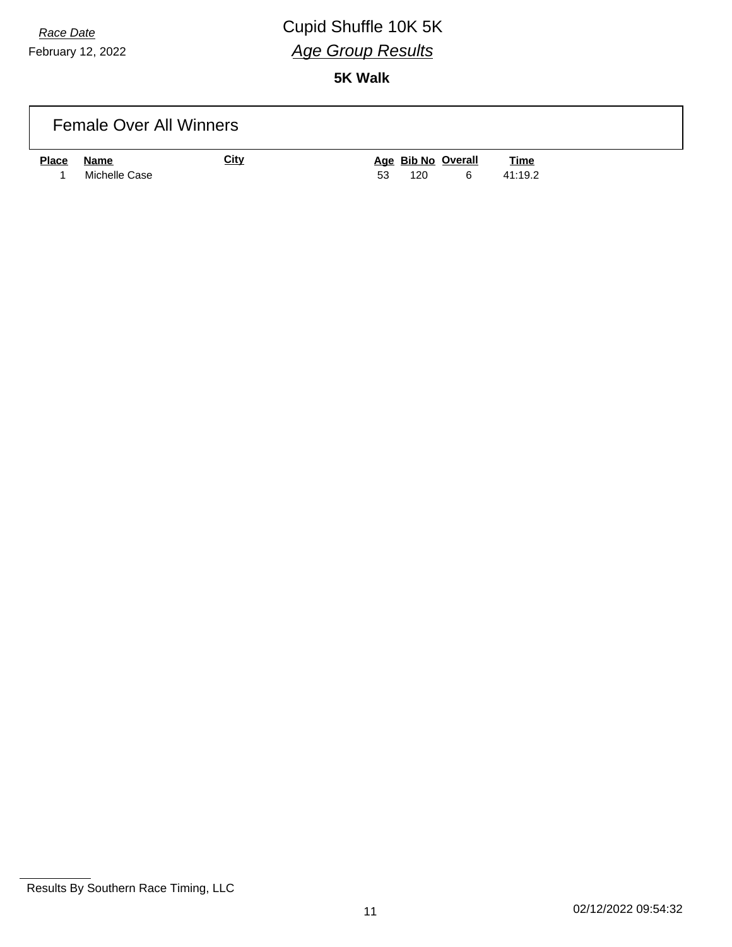# *Race Date* Cupid Shuffle 10K 5K *Age Group Results*

|              | <b>Female Over All Winners</b> |             |                                      |                        |  |
|--------------|--------------------------------|-------------|--------------------------------------|------------------------|--|
| <b>Place</b> | <b>Name</b><br>Michelle Case   | <b>City</b> | Age Bib No Overall<br>53<br>120<br>6 | <b>Time</b><br>41:19.2 |  |

Results By Southern Race Timing, LLC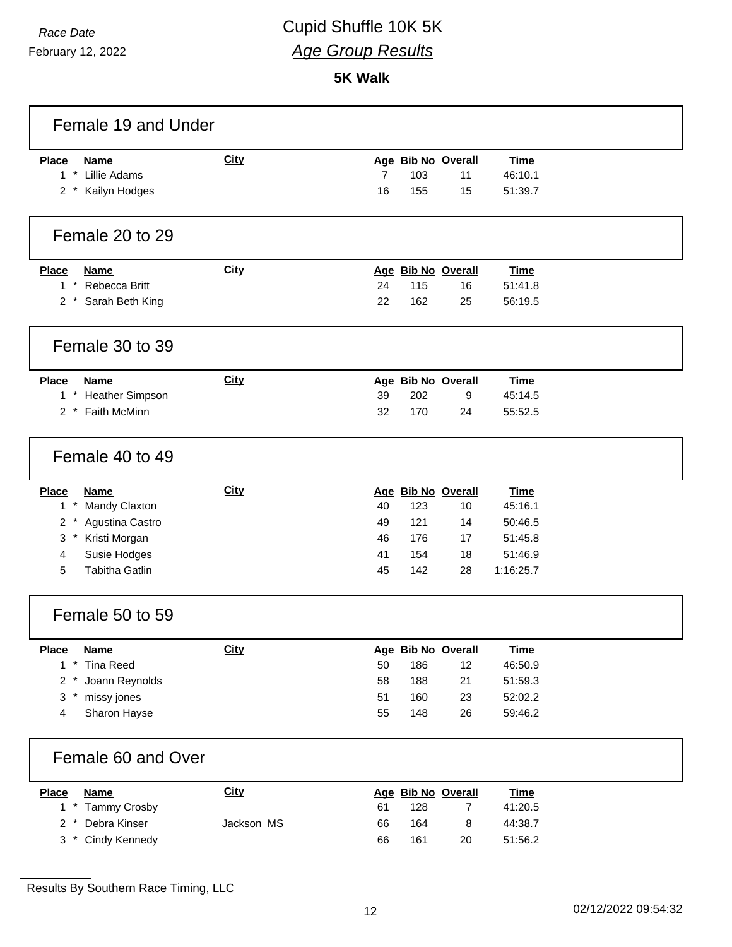February 12, 2022

| Female 19 and Under         |             |                |     |                    |             |  |
|-----------------------------|-------------|----------------|-----|--------------------|-------------|--|
| <b>Place</b><br><b>Name</b> | City        |                |     | Age Bib No Overall | <b>Time</b> |  |
| $1 *$<br>Lillie Adams       |             | $\overline{7}$ | 103 | 11                 | 46:10.1     |  |
| 2 * Kailyn Hodges           |             | 16             | 155 | 15                 | 51:39.7     |  |
| Female 20 to 29             |             |                |     |                    |             |  |
| <b>Place</b><br><b>Name</b> | <b>City</b> |                |     | Age Bib No Overall | <b>Time</b> |  |
| $1 *$<br>Rebecca Britt      |             | 24             | 115 | 16                 | 51:41.8     |  |
| 2 * Sarah Beth King         |             | 22             | 162 | 25                 | 56:19.5     |  |
| Female 30 to 39             |             |                |     |                    |             |  |
| <b>Place</b><br>Name        | <b>City</b> |                |     | Age Bib No Overall | <b>Time</b> |  |
| 1 * Heather Simpson         |             | 39             | 202 | 9                  | 45:14.5     |  |
| 2 * Faith McMinn            |             | 32             | 170 | 24                 | 55:52.5     |  |
| Female 40 to 49             |             |                |     |                    |             |  |
| <b>Place</b><br><b>Name</b> | <b>City</b> |                |     | Age Bib No Overall | <b>Time</b> |  |
| $1*$<br>Mandy Claxton       |             | 40             | 123 | 10                 | 45:16.1     |  |
| $2 *$<br>Agustina Castro    |             | 49             | 121 | 14                 | 50:46.5     |  |
| Kristi Morgan<br>3          |             | 46             | 176 | 17                 | 51:45.8     |  |
| 4<br>Susie Hodges           |             | 41             | 154 | 18                 | 51:46.9     |  |
| 5<br><b>Tabitha Gatlin</b>  |             | 45             | 142 | 28                 | 1:16:25.7   |  |
| Female 50 to 59             |             |                |     |                    |             |  |
| <b>Place</b><br>Name        | City        |                |     | Age Bib No Overall | <b>Time</b> |  |
| $1 *$<br><b>Tina Reed</b>   |             | 50             | 186 | 12                 | 46:50.9     |  |
| Joann Reynolds<br>2         |             | 58             | 188 | 21                 | 51:59.3     |  |
| 3<br>missy jones<br>$\ast$  |             | 51             | 160 | 23                 | 52:02.2     |  |
| Sharon Hayse<br>4           |             | 55             | 148 | 26                 | 59:46.2     |  |
| Female 60 and Over          |             |                |     |                    |             |  |
| <b>Place</b><br><b>Name</b> | <b>City</b> |                |     | Age Bib No Overall | <b>Time</b> |  |
| $1 *$<br>Tammy Crosby       |             | 61             | 128 | $\overline{7}$     | 41:20.5     |  |
| Debra Kinser<br>$2 *$       | Jackson MS  | 66             | 164 | 8                  | 44:38.7     |  |
| Cindy Kennedy<br>$3^*$      |             | 66             | 161 | 20                 | 51:56.2     |  |

Results By Southern Race Timing, LLC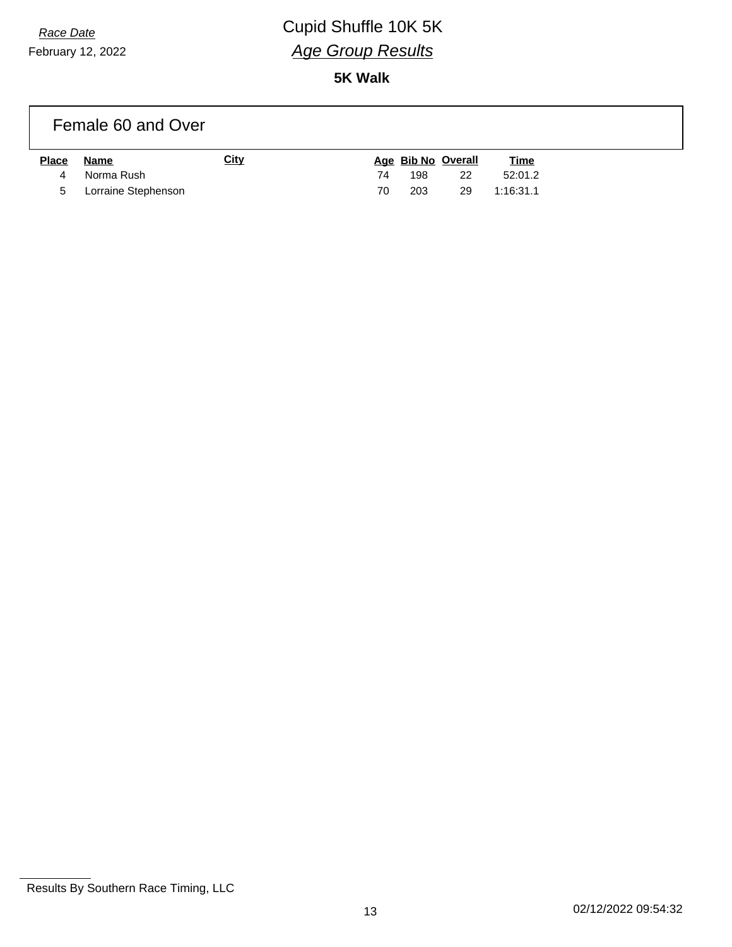# *Race Date* Cupid Shuffle 10K 5K *Age Group Results*

**5K Walk**

### Female 60 and Over

| <b>Place</b> | Name                  | City |     | Age Bib No Overall | <u>Time</u> |
|--------------|-----------------------|------|-----|--------------------|-------------|
|              | 4 Norma Rush          |      | 198 | -22                | 52:01.2     |
|              | 5 Lorraine Stephenson |      | 203 | -29                | 1:16:31.1   |

Results By Southern Race Timing, LLC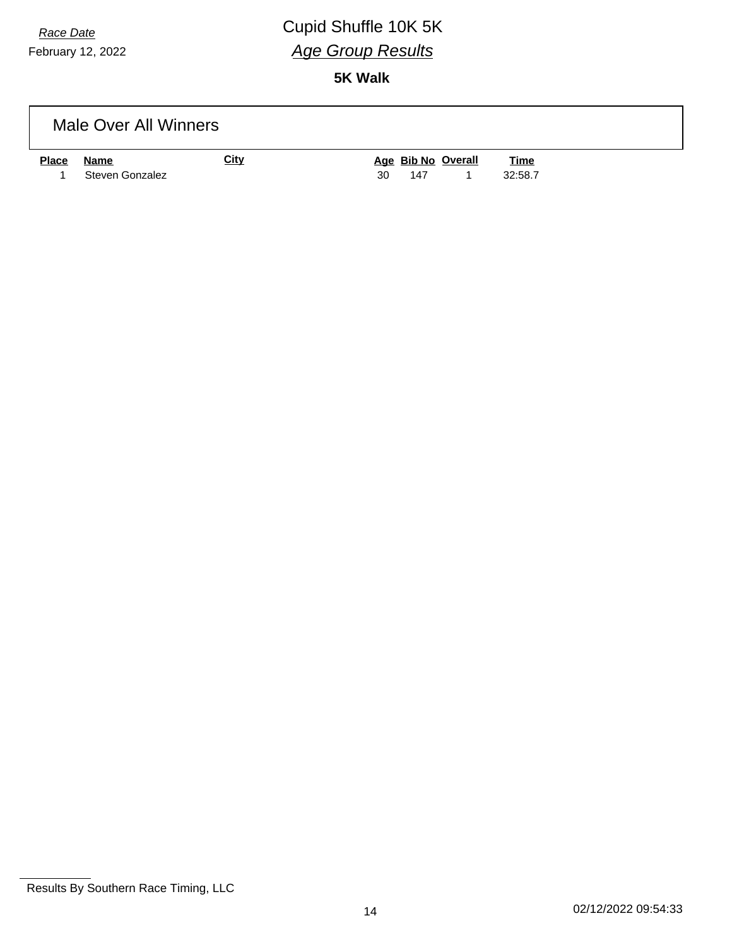# *Race Date* Cupid Shuffle 10K 5K *Age Group Results*

|              | Male Over All Winners          |             |                                 |                        |  |
|--------------|--------------------------------|-------------|---------------------------------|------------------------|--|
| <b>Place</b> | <b>Name</b><br>Steven Gonzalez | <b>City</b> | Age Bib No Overall<br>30<br>147 | <u>Time</u><br>32:58.7 |  |

Results By Southern Race Timing, LLC